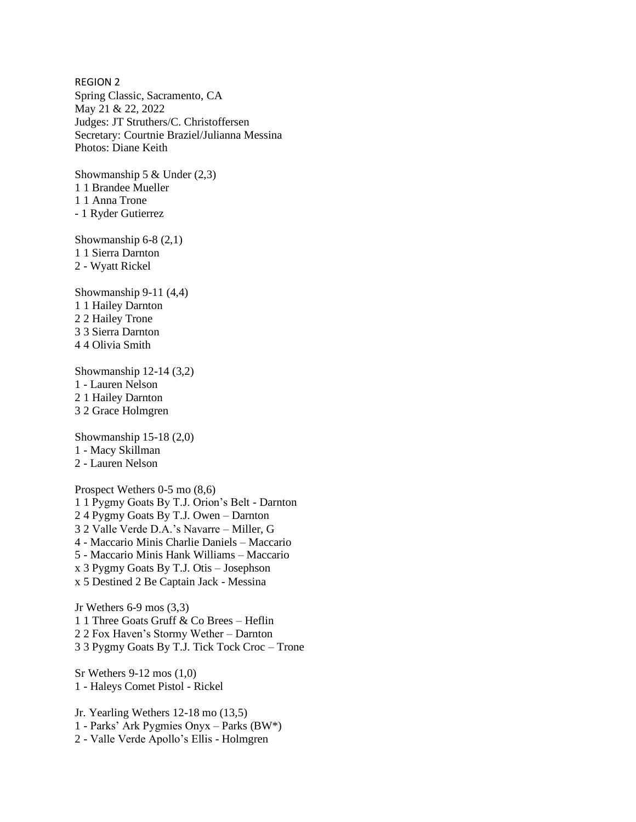REGION 2 Spring Classic, Sacramento, CA May 21 & 22, 2022 Judges: JT Struthers/C. Christoffersen Secretary: Courtnie Braziel/Julianna Messina Photos: Diane Keith

Showmanship 5  $&$  Under (2,3) 1 1 Brandee Mueller 1 1 Anna Trone - 1 Ryder Gutierrez

Showmanship 6-8 (2,1) 1 1 Sierra Darnton 2 - Wyatt Rickel

Showmanship 9-11 (4,4) 1 1 Hailey Darnton 2 2 Hailey Trone 3 3 Sierra Darnton 4 4 Olivia Smith

Showmanship 12-14 (3,2) 1 - Lauren Nelson 2 1 Hailey Darnton 3 2 Grace Holmgren

Showmanship 15-18 (2,0) 1 - Macy Skillman 2 - Lauren Nelson

Prospect Wethers 0-5 mo (8,6) 1 1 Pygmy Goats By T.J. Orion's Belt - Darnton 2 4 Pygmy Goats By T.J. Owen – Darnton 3 2 Valle Verde D.A.'s Navarre – Miller, G 4 - Maccario Minis Charlie Daniels – Maccario 5 - Maccario Minis Hank Williams – Maccario x 3 Pygmy Goats By T.J. Otis – Josephson x 5 Destined 2 Be Captain Jack - Messina

Jr Wethers 6-9 mos (3,3) 1 1 Three Goats Gruff & Co Brees – Heflin 2 2 Fox Haven's Stormy Wether – Darnton 3 3 Pygmy Goats By T.J. Tick Tock Croc – Trone

Sr Wethers 9-12 mos (1,0) 1 - Haleys Comet Pistol - Rickel

Jr. Yearling Wethers 12-18 mo (13,5) 1 - Parks' Ark Pygmies Onyx – Parks (BW\*) 2 - Valle Verde Apollo's Ellis - Holmgren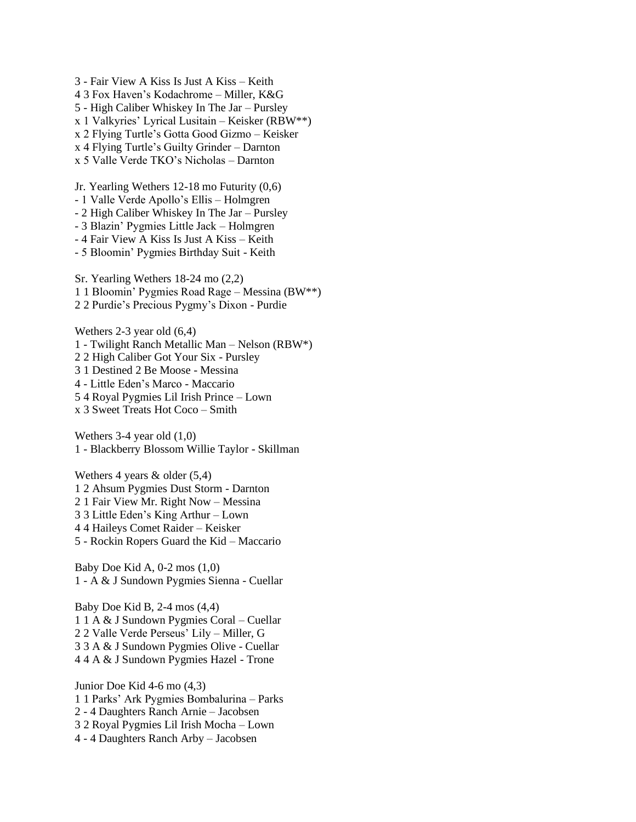3 - Fair View A Kiss Is Just A Kiss – Keith 4 3 Fox Haven's Kodachrome – Miller, K&G 5 - High Caliber Whiskey In The Jar – Pursley x 1 Valkyries' Lyrical Lusitain – Keisker (RBW\*\*) x 2 Flying Turtle's Gotta Good Gizmo – Keisker x 4 Flying Turtle's Guilty Grinder – Darnton x 5 Valle Verde TKO's Nicholas – Darnton

Jr. Yearling Wethers 12-18 mo Futurity (0,6) - 1 Valle Verde Apollo's Ellis – Holmgren - 2 High Caliber Whiskey In The Jar – Pursley - 3 Blazin' Pygmies Little Jack – Holmgren - 4 Fair View A Kiss Is Just A Kiss – Keith - 5 Bloomin' Pygmies Birthday Suit - Keith Sr. Yearling Wethers 18-24 mo (2,2) 1 1 Bloomin' Pygmies Road Rage – Messina (BW\*\*) 2 2 Purdie's Precious Pygmy's Dixon - Purdie

Wethers 2-3 year old (6,4) 1 - Twilight Ranch Metallic Man – Nelson (RBW\*) 2 2 High Caliber Got Your Six - Pursley 3 1 Destined 2 Be Moose - Messina 4 - Little Eden's Marco - Maccario 5 4 Royal Pygmies Lil Irish Prince – Lown x 3 Sweet Treats Hot Coco – Smith

Wethers 3-4 year old (1,0) 1 - Blackberry Blossom Willie Taylor - Skillman

Wethers 4 years & older (5,4) 1 2 Ahsum Pygmies Dust Storm - Darnton 2 1 Fair View Mr. Right Now – Messina 3 3 Little Eden's King Arthur – Lown 4 4 Haileys Comet Raider – Keisker 5 - Rockin Ropers Guard the Kid – Maccario

Baby Doe Kid A, 0-2 mos (1,0) 1 - A & J Sundown Pygmies Sienna - Cuellar

Baby Doe Kid B, 2-4 mos (4,4) 1 1 A & J Sundown Pygmies Coral – Cuellar 2 2 Valle Verde Perseus' Lily – Miller, G 3 3 A & J Sundown Pygmies Olive - Cuellar 4 4 A & J Sundown Pygmies Hazel - Trone

Junior Doe Kid 4-6 mo (4,3) 1 1 Parks' Ark Pygmies Bombalurina – Parks 2 - 4 Daughters Ranch Arnie – Jacobsen 3 2 Royal Pygmies Lil Irish Mocha – Lown 4 - 4 Daughters Ranch Arby – Jacobsen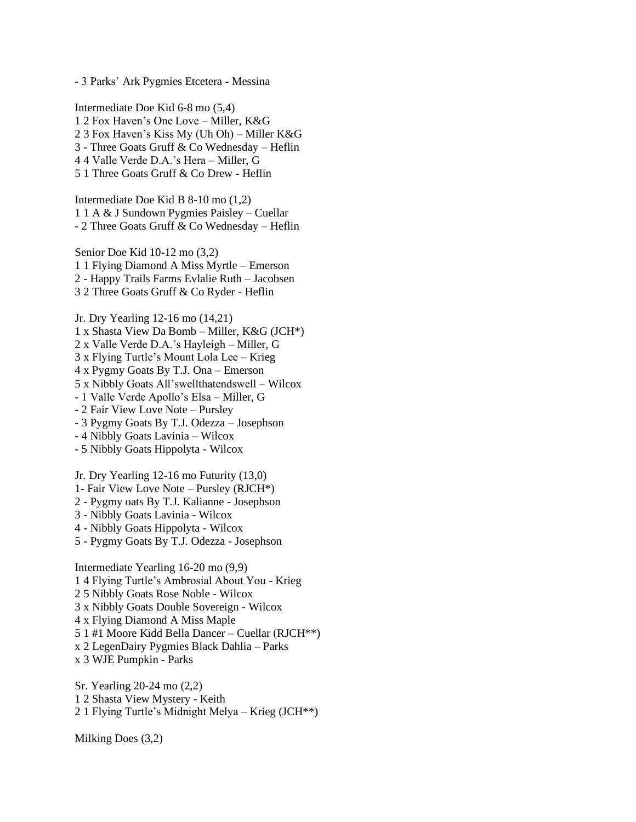- 3 Parks' Ark Pygmies Etcetera - Messina

Intermediate Doe Kid 6-8 mo (5,4) 1 2 Fox Haven's One Love – Miller, K&G 2 3 Fox Haven's Kiss My (Uh Oh) – Miller K&G 3 - Three Goats Gruff & Co Wednesday – Heflin 4 4 Valle Verde D.A.'s Hera – Miller, G 5 1 Three Goats Gruff & Co Drew - Heflin

Intermediate Doe Kid B 8-10 mo (1,2) 1 1 A & J Sundown Pygmies Paisley – Cuellar - 2 Three Goats Gruff & Co Wednesday – Heflin

Senior Doe Kid 10-12 mo (3,2) 1 1 Flying Diamond A Miss Myrtle – Emerson 2 - Happy Trails Farms Evlalie Ruth – Jacobsen 3 2 Three Goats Gruff & Co Ryder - Heflin

Jr. Dry Yearling 12-16 mo (14,21) 1 x Shasta View Da Bomb – Miller, K&G (JCH\*) 2 x Valle Verde D.A.'s Hayleigh – Miller, G 3 x Flying Turtle's Mount Lola Lee – Krieg 4 x Pygmy Goats By T.J. Ona – Emerson 5 x Nibbly Goats All'swellthatendswell – Wilcox - 1 Valle Verde Apollo's Elsa – Miller, G - 2 Fair View Love Note – Pursley - 3 Pygmy Goats By T.J. Odezza – Josephson - 4 Nibbly Goats Lavinia – Wilcox - 5 Nibbly Goats Hippolyta - Wilcox

Jr. Dry Yearling 12-16 mo Futurity (13,0) 1- Fair View Love Note – Pursley (RJCH\*)

- 2 Pygmy oats By T.J. Kalianne Josephson
- 3 Nibbly Goats Lavinia Wilcox
- 4 Nibbly Goats Hippolyta Wilcox
- 5 Pygmy Goats By T.J. Odezza Josephson

Intermediate Yearling 16-20 mo (9,9) 1 4 Flying Turtle's Ambrosial About You - Krieg 2 5 Nibbly Goats Rose Noble - Wilcox 3 x Nibbly Goats Double Sovereign - Wilcox 4 x Flying Diamond A Miss Maple 5 1 #1 Moore Kidd Bella Dancer – Cuellar (RJCH\*\*) x 2 LegenDairy Pygmies Black Dahlia – Parks x 3 WJE Pumpkin - Parks

Sr. Yearling 20-24 mo (2,2) 1 2 Shasta View Mystery - Keith 2 1 Flying Turtle's Midnight Melya – Krieg (JCH\*\*)

Milking Does (3,2)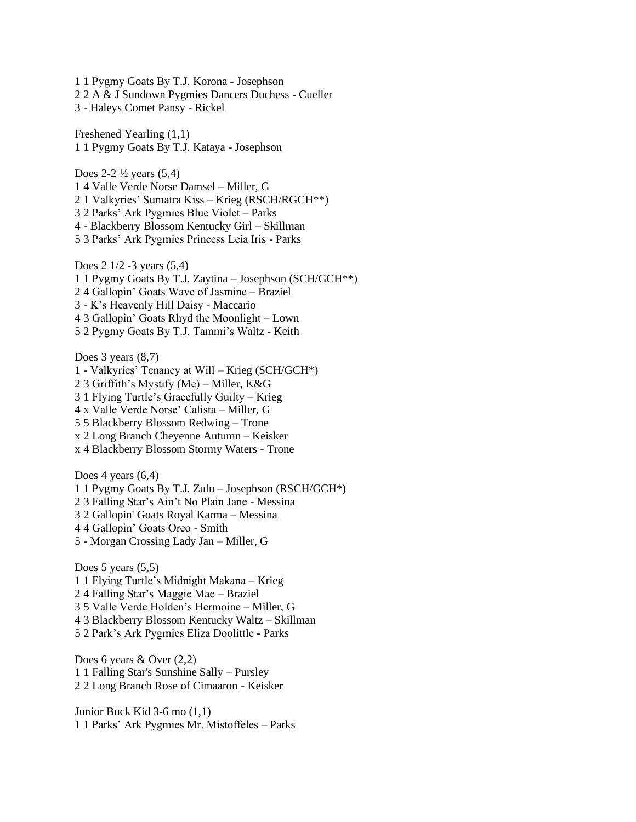1 1 Pygmy Goats By T.J. Korona - Josephson 2 2 A & J Sundown Pygmies Dancers Duchess - Cueller 3 - Haleys Comet Pansy - Rickel

Freshened Yearling (1,1) 1 1 Pygmy Goats By T.J. Kataya - Josephson

Does  $2-2\frac{1}{2}$  years  $(5,4)$ 1 4 Valle Verde Norse Damsel – Miller, G 2 1 Valkyries' Sumatra Kiss – Krieg (RSCH/RGCH\*\*) 3 2 Parks' Ark Pygmies Blue Violet – Parks 4 - Blackberry Blossom Kentucky Girl – Skillman 5 3 Parks' Ark Pygmies Princess Leia Iris - Parks

Does 2 1/2 -3 years (5,4) 1 1 Pygmy Goats By T.J. Zaytina – Josephson (SCH/GCH\*\*) 2 4 Gallopin' Goats Wave of Jasmine – Braziel 3 - K's Heavenly Hill Daisy - Maccario 4 3 Gallopin' Goats Rhyd the Moonlight – Lown 5 2 Pygmy Goats By T.J. Tammi's Waltz - Keith

Does 3 years  $(8,7)$ 1 - Valkyries' Tenancy at Will – Krieg (SCH/GCH\*) 2 3 Griffith's Mystify (Me) – Miller, K&G 3 1 Flying Turtle's Gracefully Guilty – Krieg 4 x Valle Verde Norse' Calista – Miller, G 5 5 Blackberry Blossom Redwing – Trone x 2 Long Branch Cheyenne Autumn – Keisker x 4 Blackberry Blossom Stormy Waters - Trone

Does 4 years  $(6,4)$ 

1 1 Pygmy Goats By T.J. Zulu – Josephson (RSCH/GCH\*)

2 3 Falling Star's Ain't No Plain Jane - Messina

3 2 Gallopin' Goats Royal Karma – Messina

4 4 Gallopin' Goats Oreo - Smith

5 - Morgan Crossing Lady Jan – Miller, G

Does 5 years  $(5,5)$ 1 1 Flying Turtle's Midnight Makana – Krieg 2 4 Falling Star's Maggie Mae – Braziel 3 5 Valle Verde Holden's Hermoine – Miller, G 4 3 Blackberry Blossom Kentucky Waltz – Skillman 5 2 Park's Ark Pygmies Eliza Doolittle - Parks

Does 6 years & Over (2,2) 1 1 Falling Star's Sunshine Sally – Pursley 2 2 Long Branch Rose of Cimaaron - Keisker

Junior Buck Kid 3-6 mo (1,1) 1 1 Parks' Ark Pygmies Mr. Mistoffeles – Parks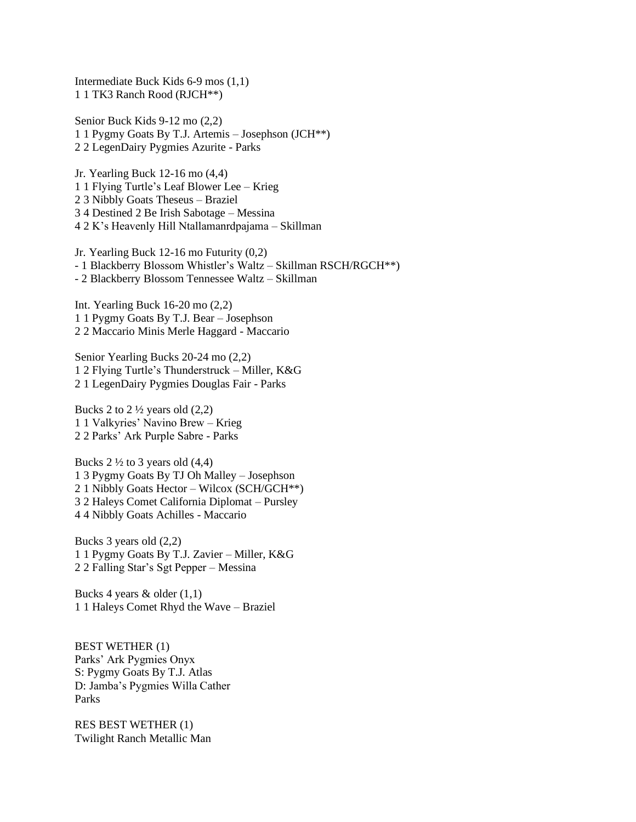Intermediate Buck Kids 6-9 mos (1,1) 1 1 TK3 Ranch Rood (RJCH\*\*)

Senior Buck Kids 9-12 mo (2,2) 1 1 Pygmy Goats By T.J. Artemis – Josephson (JCH\*\*) 2 2 LegenDairy Pygmies Azurite - Parks

Jr. Yearling Buck 12-16 mo (4,4) 1 1 Flying Turtle's Leaf Blower Lee – Krieg 2 3 Nibbly Goats Theseus – Braziel 3 4 Destined 2 Be Irish Sabotage – Messina 4 2 K's Heavenly Hill Ntallamanrdpajama – Skillman

Jr. Yearling Buck 12-16 mo Futurity (0,2) - 1 Blackberry Blossom Whistler's Waltz – Skillman RSCH/RGCH\*\*) - 2 Blackberry Blossom Tennessee Waltz – Skillman

Int. Yearling Buck 16-20 mo (2,2) 1 1 Pygmy Goats By T.J. Bear – Josephson 2 2 Maccario Minis Merle Haggard - Maccario

Senior Yearling Bucks 20-24 mo (2,2) 1 2 Flying Turtle's Thunderstruck – Miller, K&G 2 1 LegenDairy Pygmies Douglas Fair - Parks

Bucks 2 to  $2 \frac{1}{2}$  years old  $(2,2)$ 1 1 Valkyries' Navino Brew – Krieg 2 2 Parks' Ark Purple Sabre - Parks

Bucks  $2\frac{1}{2}$  to 3 years old  $(4,4)$ 1 3 Pygmy Goats By TJ Oh Malley – Josephson 2 1 Nibbly Goats Hector – Wilcox (SCH/GCH\*\*) 3 2 Haleys Comet California Diplomat – Pursley 4 4 Nibbly Goats Achilles - Maccario

Bucks 3 years old (2,2) 1 1 Pygmy Goats By T.J. Zavier – Miller, K&G 2 2 Falling Star's Sgt Pepper – Messina

Bucks 4 years & older (1,1) 1 1 Haleys Comet Rhyd the Wave – Braziel

BEST WETHER (1) Parks' Ark Pygmies Onyx S: Pygmy Goats By T.J. Atlas D: Jamba's Pygmies Willa Cather Parks

RES BEST WETHER (1) Twilight Ranch Metallic Man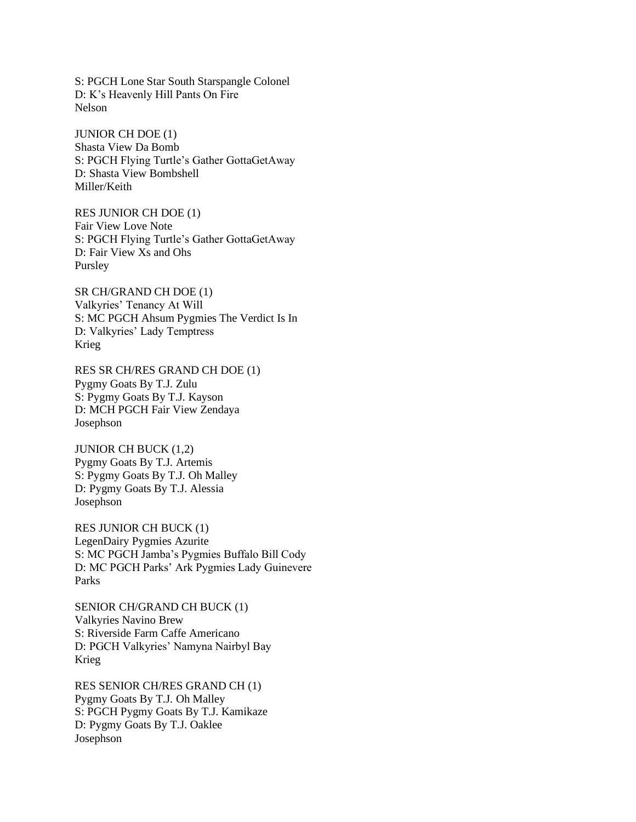S: PGCH Lone Star South Starspangle Colonel D: K's Heavenly Hill Pants On Fire Nelson

JUNIOR CH DOE (1) Shasta View Da Bomb S: PGCH Flying Turtle's Gather GottaGetAway D: Shasta View Bombshell Miller/Keith

RES JUNIOR CH DOE (1) Fair View Love Note S: PGCH Flying Turtle's Gather GottaGetAway D: Fair View Xs and Ohs Pursley

SR CH/GRAND CH DOE (1) Valkyries' Tenancy At Will S: MC PGCH Ahsum Pygmies The Verdict Is In D: Valkyries' Lady Temptress Krieg

RES SR CH/RES GRAND CH DOE (1) Pygmy Goats By T.J. Zulu S: Pygmy Goats By T.J. Kayson D: MCH PGCH Fair View Zendaya Josephson

JUNIOR CH BUCK (1,2) Pygmy Goats By T.J. Artemis S: Pygmy Goats By T.J. Oh Malley D: Pygmy Goats By T.J. Alessia Josephson

RES JUNIOR CH BUCK (1) LegenDairy Pygmies Azurite S: MC PGCH Jamba's Pygmies Buffalo Bill Cody D: MC PGCH Parks' Ark Pygmies Lady Guinevere Parks

SENIOR CH/GRAND CH BUCK (1) Valkyries Navino Brew S: Riverside Farm Caffe Americano D: PGCH Valkyries' Namyna Nairbyl Bay Krieg

RES SENIOR CH/RES GRAND CH (1) Pygmy Goats By T.J. Oh Malley S: PGCH Pygmy Goats By T.J. Kamikaze D: Pygmy Goats By T.J. Oaklee Josephson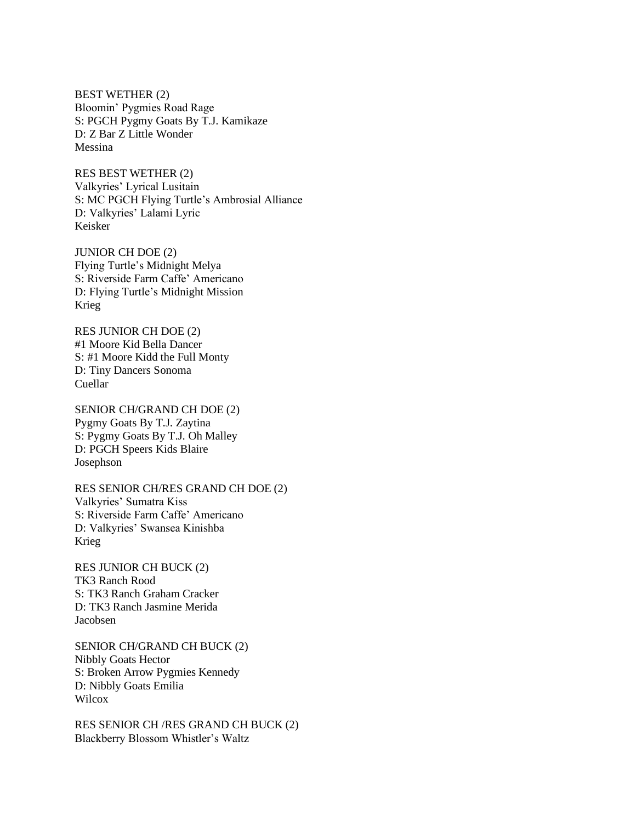BEST WETHER (2) Bloomin' Pygmies Road Rage S: PGCH Pygmy Goats By T.J. Kamikaze D: Z Bar Z Little Wonder Messina

RES BEST WETHER (2) Valkyries' Lyrical Lusitain S: MC PGCH Flying Turtle's Ambrosial Alliance D: Valkyries' Lalami Lyric Keisker

JUNIOR CH DOE (2) Flying Turtle's Midnight Melya S: Riverside Farm Caffe' Americano D: Flying Turtle's Midnight Mission Krieg

RES JUNIOR CH DOE (2) #1 Moore Kid Bella Dancer S: #1 Moore Kidd the Full Monty D: Tiny Dancers Sonoma Cuellar

SENIOR CH/GRAND CH DOE (2) Pygmy Goats By T.J. Zaytina S: Pygmy Goats By T.J. Oh Malley D: PGCH Speers Kids Blaire Josephson

RES SENIOR CH/RES GRAND CH DOE (2) Valkyries' Sumatra Kiss S: Riverside Farm Caffe' Americano D: Valkyries' Swansea Kinishba Krieg

RES JUNIOR CH BUCK (2) TK3 Ranch Rood S: TK3 Ranch Graham Cracker D: TK3 Ranch Jasmine Merida Jacobsen

SENIOR CH/GRAND CH BUCK (2) Nibbly Goats Hector S: Broken Arrow Pygmies Kennedy D: Nibbly Goats Emilia **Wilcox** 

RES SENIOR CH /RES GRAND CH BUCK (2) Blackberry Blossom Whistler's Waltz